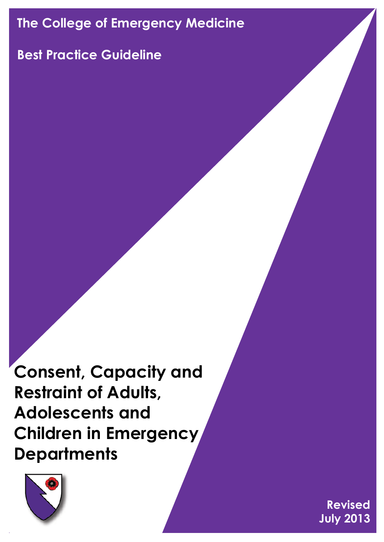# **The College of Emergency Medicine**

## **Best Practice Guideline**

**Consent, Capacity and Restraint of Adults, Adolescents and Children in Emergency Departments**



**Revised July 2013**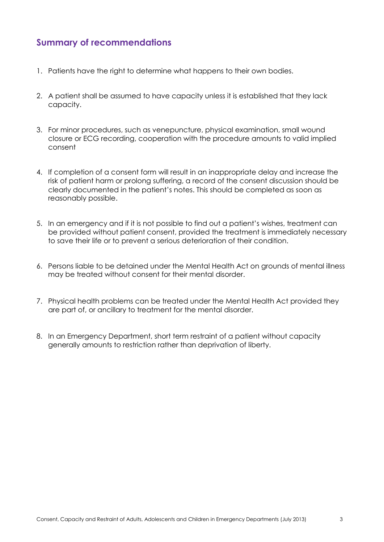## **Summary of recommendations**

- 1. Patients have the right to determine what happens to their own bodies.
- 2. A patient shall be assumed to have capacity unless it is established that they lack capacity.
- 3. For minor procedures, such as venepuncture, physical examination, small wound closure or ECG recording, cooperation with the procedure amounts to valid implied consent
- 4. If completion of a consent form will result in an inappropriate delay and increase the risk of patient harm or prolong suffering, a record of the consent discussion should be clearly documented in the patient's notes. This should be completed as soon as reasonably possible.
- 5. In an emergency and if it is not possible to find out a patient's wishes, treatment can be provided without patient consent, provided the treatment is immediately necessary to save their life or to prevent a serious deterioration of their condition.
- 6. Persons liable to be detained under the Mental Health Act on grounds of mental illness may be treated without consent for their mental disorder.
- 7. Physical health problems can be treated under the Mental Health Act provided they are part of, or ancillary to treatment for the mental disorder.
- 8. In an Emergency Department, short term restraint of a patient without capacity generally amounts to restriction rather than deprivation of liberty.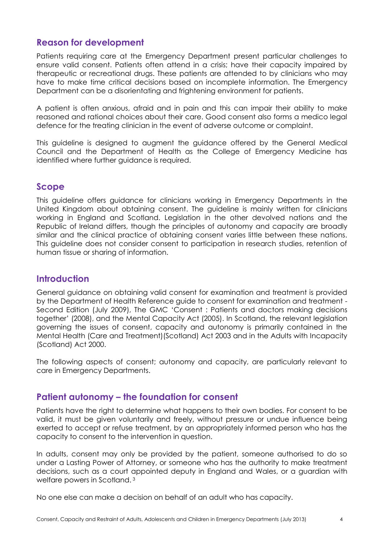#### **Reason for development**

Patients requiring care at the Emergency Department present particular challenges to ensure valid consent. Patients often attend in a crisis; have their capacity impaired by therapeutic or recreational drugs. These patients are attended to by clinicians who may have to make time critical decisions based on incomplete information. The Emergency Department can be a disorientating and frightening environment for patients.

A patient is often anxious, afraid and in pain and this can impair their ability to make reasoned and rational choices about their care. Good consent also forms a medico legal defence for the treating clinician in the event of adverse outcome or complaint.

This guideline is designed to augment the guidance offered by the General Medical Council and the Department of Health as the College of Emergency Medicine has identified where further guidance is required.

#### **Scope**

This guideline offers guidance for clinicians working in Emergency Departments in the United Kingdom about obtaining consent. The guideline is mainly written for clinicians working in England and Scotland. Legislation in the other devolved nations and the Republic of Ireland differs, though the principles of autonomy and capacity are broadly similar and the clinical practice of obtaining consent varies little between these nations. This guideline does not consider consent to participation in research studies, retention of human tissue or sharing of information.

#### **Introduction**

General guidance on obtaining valid consent for examination and treatment is provided by the Department of Health Reference guide to consent for examination and treatment - Second Edition (July 2009), The GMC 'Consent : Patients and doctors making decisions together' (2008), and the Mental Capacity Act (2005). In Scotland, the relevant legislation governing the issues of consent, capacity and autonomy is primarily contained in the Mental Health (Care and Treatment)(Scotland) Act 2003 and in the Adults with Incapacity (Scotland) Act 2000.

The following aspects of consent; autonomy and capacity, are particularly relevant to care in Emergency Departments.

#### **Patient autonomy – the foundation for consent**

Patients have the right to determine what happens to their own bodies. For consent to be valid, it must be given voluntarily and freely, without pressure or undue influence being exerted to accept or refuse treatment, by an appropriately informed person who has the capacity to consent to the intervention in question.

In adults, consent may only be provided by the patient, someone authorised to do so under a Lasting Power of Attorney, or someone who has the authority to make treatment decisions, such as a court appointed deputy in England and Wales, or a guardian with welfare powers in Scotland. <sup>3</sup>

No one else can make a decision on behalf of an adult who has capacity.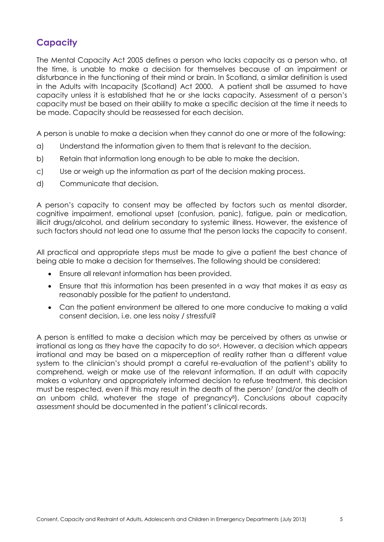## **Capacity**

The Mental Capacity Act 2005 defines a person who lacks capacity as a person who, at the time, is unable to make a decision for themselves because of an impairment or disturbance in the functioning of their mind or brain. In Scotland, a similar definition is used in the Adults with Incapacity (Scotland) Act 2000. A patient shall be assumed to have capacity unless it is established that he or she lacks capacity. Assessment of a person's capacity must be based on their ability to make a specific decision at the time it needs to be made. Capacity should be reassessed for each decision.

A person is unable to make a decision when they cannot do one or more of the following:

- a) Understand the information given to them that is relevant to the decision.
- b) Retain that information long enough to be able to make the decision.
- c) Use or weigh up the information as part of the decision making process.
- d) Communicate that decision.

A person's capacity to consent may be affected by factors such as mental disorder, cognitive impairment, emotional upset (confusion, panic), fatigue, pain or medication, illicit drugs/alcohol, and delirium secondary to systemic illness. However, the existence of such factors should not lead one to assume that the person lacks the capacity to consent.

All practical and appropriate steps must be made to give a patient the best chance of being able to make a decision for themselves. The following should be considered:

- Ensure all relevant information has been provided.
- Ensure that this information has been presented in a way that makes it as easy as reasonably possible for the patient to understand.
- Can the patient environment be altered to one more conducive to making a valid consent decision, i.e. one less noisy / stressful?

A person is entitled to make a decision which may be perceived by others as unwise or irrational as long as they have the capacity to do so<sup>6</sup>. However, a decision which appears irrational and may be based on a misperception of reality rather than a different value system to the clinician's should prompt a careful re-evaluation of the patient's ability to comprehend, weigh or make use of the relevant information. If an adult with capacity makes a voluntary and appropriately informed decision to refuse treatment, this decision must be respected, even if this may result in the death of the person<sup>7</sup> (and/or the death of an unborn child, whatever the stage of pregnancy<sup>8</sup>). Conclusions about capacity assessment should be documented in the patient's clinical records.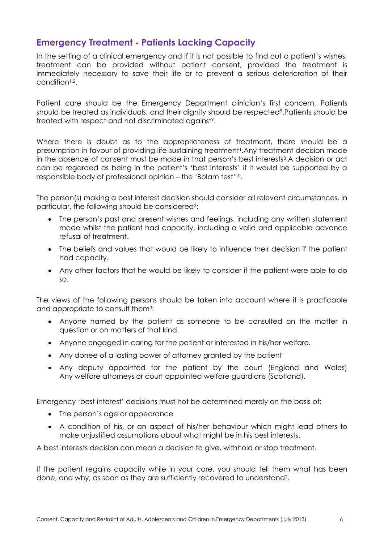## **Emergency Treatment - Patients Lacking Capacity**

In the setting of a clinical emergency and if it is not possible to find out a patient's wishes. treatment can be provided without patient consent, provided the treatment is immediately necessary to save their life or to prevent a serious deterioration of their condition<sup>1,2</sup>.

Patient care should be the Emergency Department clinician's first concern. Patients should be treated as individuals, and their dignity should be respected<sup>9</sup>. Patients should be treated with respect and not discriminated against<sup>9</sup>.

Where there is doubt as to the appropriateness of treatment, there should be a presumption in favour of providing life-sustaining treatment<sup>1</sup>. Any treatment decision made in the absence of consent must be made in that person's best interests<sup>3</sup>.A decision or act can be regarded as being in the patient's 'best interests' if it would be supported by a responsible body of professional opinion – the 'Bolam test'<sup>10</sup> .

The person(s) making a best interest decision should consider all relevant circumstances. In particular, the following should be considered<sup>3</sup>:

- The person's past and present wishes and feelings, including any written statement made whilst the patient had capacity, including a valid and applicable advance refusal of treatment.
- The beliefs and values that would be likely to influence their decision if the patient had capacity.
- Any other factors that he would be likely to consider if the patient were able to do so.

The views of the following persons should be taken into account where it is practicable and appropriate to consult them<sup>3</sup> :

- Anyone named by the patient as someone to be consulted on the matter in question or on matters of that kind.
- Anyone engaged in caring for the patient or interested in his/her welfare.
- Any donee of a lasting power of attorney granted by the patient
- Any deputy appointed for the patient by the court (England and Wales) Any welfare attorneys or court appointed welfare guardians (Scotland).

Emergency 'best interest' decisions must not be determined merely on the basis of:

- The person's age or appearance
- A condition of his, or an aspect of his/her behaviour which might lead others to make unjustified assumptions about what might be in his best interests.

A best interests decision can mean a decision to give, withhold or stop treatment.

If the patient regains capacity while in your care, you should tell them what has been done, and why, as soon as they are sufficiently recovered to understand<sup>2</sup> .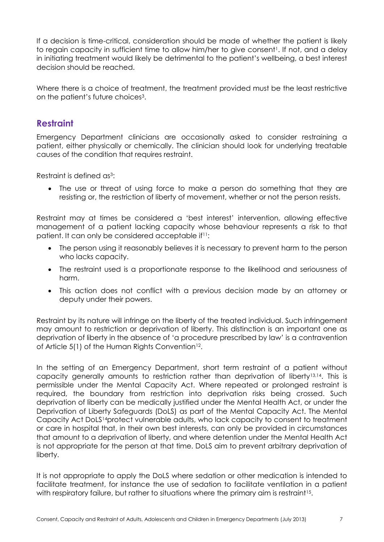If a decision is time-critical, consideration should be made of whether the patient is likely to regain capacity in sufficient time to allow him/her to give consent<sup>1</sup>. If not, and a delay in initiating treatment would likely be detrimental to the patient's wellbeing, a best interest decision should be reached.

Where there is a choice of treatment, the treatment provided must be the least restrictive on the patient's future choices<sup>3</sup>.

## **Restraint**

Emergency Department clinicians are occasionally asked to consider restraining a patient, either physically or chemically. The clinician should look for underlying treatable causes of the condition that requires restraint.

Restraint is defined as<sup>3</sup>:

 The use or threat of using force to make a person do something that they are resisting or, the restriction of liberty of movement, whether or not the person resists.

Restraint may at times be considered a 'best interest' intervention, allowing effective management of a patient lacking capacity whose behaviour represents a risk to that patient. It can only be considered acceptable if<sup>11</sup>:

- The person using it reasonably believes it is necessary to prevent harm to the person who lacks capacity.
- The restraint used is a proportionate response to the likelihood and seriousness of harm.
- This action does not conflict with a previous decision made by an attorney or deputy under their powers.

Restraint by its nature will infringe on the liberty of the treated individual. Such infringement may amount to restriction or deprivation of liberty. This distinction is an important one as deprivation of liberty in the absence of 'a procedure prescribed by law' is a contravention of Article  $5(1)$  of the Human Rights Convention<sup>12</sup>.

In the setting of an Emergency Department, short term restraint of a patient without capacity generally amounts to restriction rather than deprivation of liberty<sup>13,14</sup>. This is permissible under the Mental Capacity Act. Where repeated or prolonged restraint is required, the boundary from restriction into deprivation risks being crossed. Such deprivation of liberty can be medically justified under the Mental Health Act, or under the Deprivation of Liberty Safeguards (DoLS) as part of the Mental Capacity Act. The Mental Capacity Act DoLS14protect vulnerable adults, who lack capacity to consent to treatment or care in hospital that, in their own best interests, can only be provided in circumstances that amount to a deprivation of liberty, and where detention under the Mental Health Act is not appropriate for the person at that time. DoLS aim to prevent arbitrary deprivation of liberty.

It is not appropriate to apply the DoLS where sedation or other medication is intended to facilitate treatment, for instance the use of sedation to facilitate ventilation in a patient with respiratory failure, but rather to situations where the primary aim is restraint<sup>15</sup>.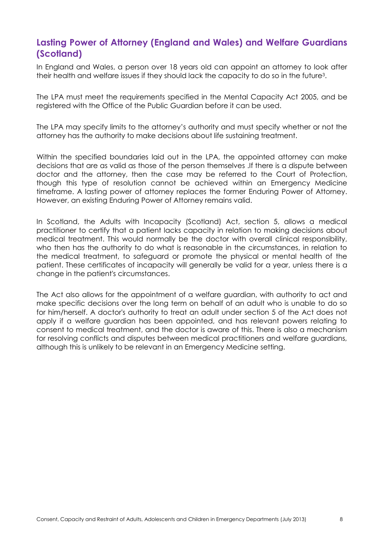## **Lasting Power of Attorney (England and Wales) and Welfare Guardians (Scotland)**

In England and Wales, a person over 18 years old can appoint an attorney to look after their health and welfare issues if they should lack the capacity to do so in the future<sup>3</sup> .

The LPA must meet the requirements specified in the Mental Capacity Act 2005, and be registered with the Office of the Public Guardian before it can be used.

The LPA may specify limits to the attorney's authority and must specify whether or not the attorney has the authority to make decisions about life sustaining treatment.

Within the specified boundaries laid out in the LPA, the appointed attorney can make decisions that are as valid as those of the person themselves .If there is a dispute between doctor and the attorney, then the case may be referred to the Court of Protection, though this type of resolution cannot be achieved within an Emergency Medicine timeframe. A lasting power of attorney replaces the former Enduring Power of Attorney. However, an existing Enduring Power of Attorney remains valid.

In Scotland, the Adults with Incapacity (Scotland) Act, section 5, allows a medical practitioner to certify that a patient lacks capacity in relation to making decisions about medical treatment. This would normally be the doctor with overall clinical responsibility, who then has the authority to do what is reasonable in the circumstances, in relation to the medical treatment, to safeguard or promote the physical or mental health of the patient. These certificates of incapacity will generally be valid for a year, unless there is a change in the patient's circumstances.

The Act also allows for the appointment of a welfare guardian, with authority to act and make specific decisions over the long term on behalf of an adult who is unable to do so for him/herself. A doctor's authority to treat an adult under section 5 of the Act does not apply if a welfare guardian has been appointed, and has relevant powers relating to consent to medical treatment, and the doctor is aware of this. There is also a mechanism for resolving conflicts and disputes between medical practitioners and welfare guardians, although this is unlikely to be relevant in an Emergency Medicine setting.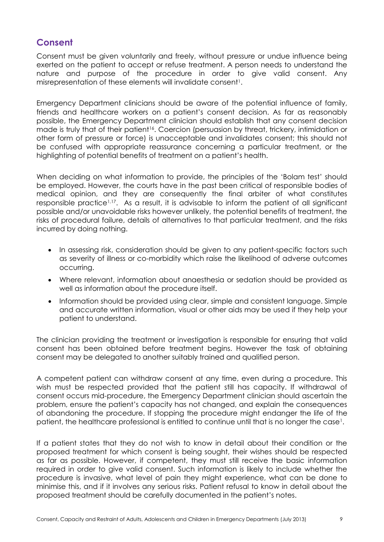## **Consent**

Consent must be given voluntarily and freely, without pressure or undue influence being exerted on the patient to accept or refuse treatment. A person needs to understand the nature and purpose of the procedure in order to give valid consent. Any misrepresentation of these elements will invalidate consent<sup>1</sup>.

Emergency Department clinicians should be aware of the potential influence of family, friends and healthcare workers on a patient's consent decision. As far as reasonably possible, the Emergency Department clinician should establish that any consent decision made is truly that of their patient<sup>16</sup>. Coercion (persuasion by threat, trickery, intimidation or other form of pressure or force) is unacceptable and invalidates consent; this should not be confused with appropriate reassurance concerning a particular treatment, or the highlighting of potential benefits of treatment on a patient's health.

When deciding on what information to provide, the principles of the 'Bolam test' should be employed. However, the courts have in the past been critical of responsible bodies of medical opinion, and they are consequently the final arbiter of what constitutes responsible practice1,17. As a result, it is advisable to inform the patient of all significant possible and/or unavoidable risks however unlikely, the potential benefits of treatment, the risks of procedural failure, details of alternatives to that particular treatment, and the risks incurred by doing nothing.

- In assessing risk, consideration should be given to any patient-specific factors such as severity of illness or co-morbidity which raise the likelihood of adverse outcomes occurring.
- Where relevant, information about anaesthesia or sedation should be provided as well as information about the procedure itself.
- Information should be provided using clear, simple and consistent language. Simple and accurate written information, visual or other aids may be used if they help your patient to understand.

The clinician providing the treatment or investigation is responsible for ensuring that valid consent has been obtained before treatment begins. However the task of obtaining consent may be delegated to another suitably trained and qualified person.

A competent patient can withdraw consent at any time, even during a procedure. This wish must be respected provided that the patient still has capacity. If withdrawal of consent occurs mid-procedure, the Emergency Department clinician should ascertain the problem, ensure the patient's capacity has not changed, and explain the consequences of abandoning the procedure. If stopping the procedure might endanger the life of the patient, the healthcare professional is entitled to continue until that is no longer the case<sup>1</sup>.

If a patient states that they do not wish to know in detail about their condition or the proposed treatment for which consent is being sought, their wishes should be respected as far as possible. However, if competent, they must still receive the basic information required in order to give valid consent. Such information is likely to include whether the procedure is invasive, what level of pain they might experience, what can be done to minimise this, and if it involves any serious risks. Patient refusal to know in detail about the proposed treatment should be carefully documented in the patient's notes.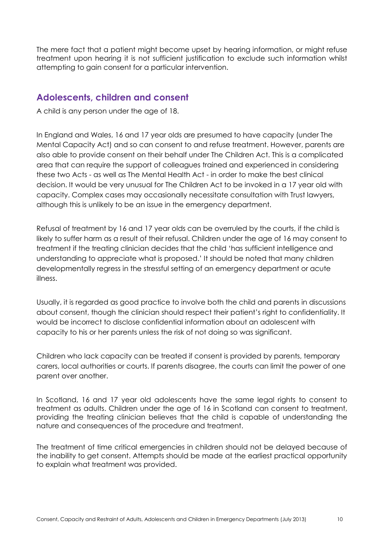The mere fact that a patient might become upset by hearing information, or might refuse treatment upon hearing it is not sufficient justification to exclude such information whilst attempting to gain consent for a particular intervention.

## **Adolescents, children and consent**

A child is any person under the age of 18.

In England and Wales, 16 and 17 year olds are presumed to have capacity (under The Mental Capacity Act) and so can consent to and refuse treatment. However, parents are also able to provide consent on their behalf under The Children Act. This is a complicated area that can require the support of colleagues trained and experienced in considering these two Acts - as well as The Mental Health Act - in order to make the best clinical decision. It would be very unusual for The Children Act to be invoked in a 17 year old with capacity. Complex cases may occasionally necessitate consultation with Trust lawyers, although this is unlikely to be an issue in the emergency department.

Refusal of treatment by 16 and 17 year olds can be overruled by the courts, if the child is likely to suffer harm as a result of their refusal. Children under the age of 16 may consent to treatment if the treating clinician decides that the child 'has sufficient intelligence and understanding to appreciate what is proposed.' It should be noted that many children developmentally regress in the stressful setting of an emergency department or acute illness.

Usually, it is regarded as good practice to involve both the child and parents in discussions about consent, though the clinician should respect their patient's right to confidentiality. It would be incorrect to disclose confidential information about an adolescent with capacity to his or her parents unless the risk of not doing so was significant.

Children who lack capacity can be treated if consent is provided by parents, temporary carers, local authorities or courts. If parents disagree, the courts can limit the power of one parent over another.

In Scotland, 16 and 17 year old adolescents have the same legal rights to consent to treatment as adults. Children under the age of 16 in Scotland can consent to treatment, providing the treating clinician believes that the child is capable of understanding the nature and consequences of the procedure and treatment.

The treatment of time critical emergencies in children should not be delayed because of the inability to get consent. Attempts should be made at the earliest practical opportunity to explain what treatment was provided.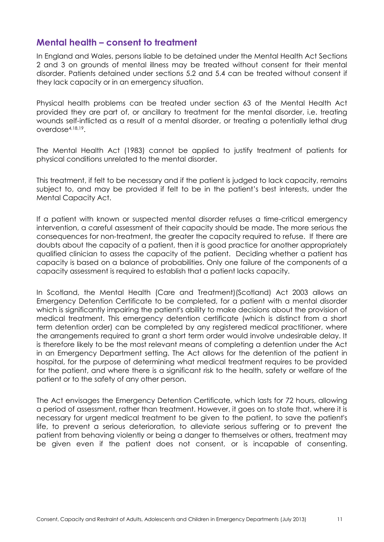#### **Mental health – consent to treatment**

In England and Wales, persons liable to be detained under the Mental Health Act Sections 2 and 3 on grounds of mental illness may be treated without consent for their mental disorder. Patients detained under sections 5.2 and 5.4 can be treated without consent if they lack capacity or in an emergency situation.

Physical health problems can be treated under section 63 of the Mental Health Act provided they are part of, or ancillary to treatment for the mental disorder, i.e. treating wounds self-inflicted as a result of a mental disorder, or treating a potentially lethal drug overdose4,18,19 .

The Mental Health Act (1983) cannot be applied to justify treatment of patients for physical conditions unrelated to the mental disorder.

This treatment, if felt to be necessary and if the patient is judged to lack capacity, remains subject to, and may be provided if felt to be in the patient's best interests, under the Mental Capacity Act.

If a patient with known or suspected mental disorder refuses a time-critical emergency intervention, a careful assessment of their capacity should be made. The more serious the consequences for non-treatment, the greater the capacity required to refuse. If there are doubts about the capacity of a patient, then it is good practice for another appropriately qualified clinician to assess the capacity of the patient. Deciding whether a patient has capacity is based on a balance of probabilities. Only one failure of the components of a capacity assessment is required to establish that a patient lacks capacity.

In Scotland, the Mental Health (Care and Treatment)(Scotland) Act 2003 allows an Emergency Detention Certificate to be completed, for a patient with a mental disorder which is significantly impairing the patient's ability to make decisions about the provision of medical treatment. This emergency detention certificate (which is distinct from a short term detention order) can be completed by any registered medical practitioner, where the arrangements required to grant a short term order would involve undesirable delay. It is therefore likely to be the most relevant means of completing a detention under the Act in an Emergency Department setting. The Act allows for the detention of the patient in hospital, for the purpose of determining what medical treatment requires to be provided for the patient, and where there is a significant risk to the health, safety or welfare of the patient or to the safety of any other person.

The Act envisages the Emergency Detention Certificate, which lasts for 72 hours, allowing a period of assessment, rather than treatment. However, it goes on to state that, where it is necessary for urgent medical treatment to be given to the patient, to save the patient's life, to prevent a serious deterioration, to alleviate serious suffering or to prevent the patient from behaving violently or being a danger to themselves or others, treatment may be given even if the patient does not consent, or is incapable of consenting.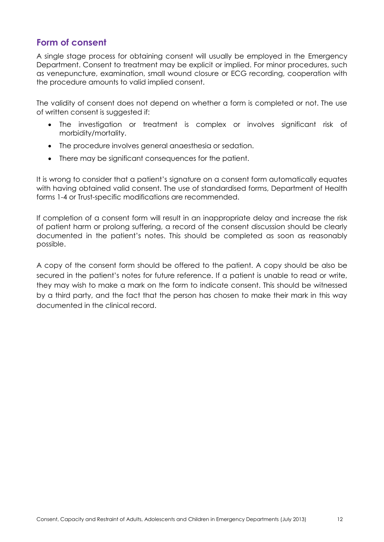#### **Form of consent**

A single stage process for obtaining consent will usually be employed in the Emergency Department. Consent to treatment may be explicit or implied. For minor procedures, such as venepuncture, examination, small wound closure or ECG recording, cooperation with the procedure amounts to valid implied consent.

The validity of consent does not depend on whether a form is completed or not. The use of written consent is suggested if:

- The investigation or treatment is complex or involves significant risk of morbidity/mortality.
- The procedure involves general anaesthesia or sedation.
- There may be significant consequences for the patient.

It is wrong to consider that a patient's signature on a consent form automatically equates with having obtained valid consent. The use of standardised forms, Department of Health forms 1-4 or Trust-specific modifications are recommended.

If completion of a consent form will result in an inappropriate delay and increase the risk of patient harm or prolong suffering, a record of the consent discussion should be clearly documented in the patient's notes. This should be completed as soon as reasonably possible.

A copy of the consent form should be offered to the patient. A copy should be also be secured in the patient's notes for future reference. If a patient is unable to read or write, they may wish to make a mark on the form to indicate consent. This should be witnessed by a third party, and the fact that the person has chosen to make their mark in this way documented in the clinical record.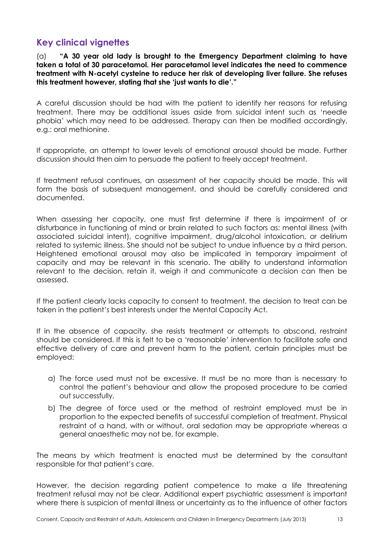#### **Key clinical vignettes**

(a) **"A 30 year old lady is brought to the Emergency Department claiming to have taken a total of 30 paracetamol. Her paracetamol level indicates the need to commence treatment with N-acetyl cysteine to reduce her risk of developing liver failure. She refuses this treatment however, stating that she 'just wants to die'."**

A careful discussion should be had with the patient to identify her reasons for refusing treatment. There may be additional issues aside from suicidal intent such as 'needle phobia' which may need to be addressed. Therapy can then be modified accordingly, e.g.: oral methionine.

If appropriate, an attempt to lower levels of emotional arousal should be made. Further discussion should then aim to persuade the patient to freely accept treatment.

If treatment refusal continues, an assessment of her capacity should be made. This will form the basis of subsequent management, and should be carefully considered and documented.

When assessing her capacity, one must first determine if there is impairment of or disturbance in functioning of mind or brain related to such factors as: mental illness (with associated suicidal intent), cognitive impairment, drug/alcohol intoxication, or delirium related to systemic illness. She should not be subject to undue influence by a third person. Heightened emotional arousal may also be implicated in temporary impairment of capacity and may be relevant in this scenario. The ability to understand information relevant to the decision, retain it, weigh it and communicate a decision can then be assessed.

If the patient clearly lacks capacity to consent to treatment, the decision to treat can be taken in the patient's best interests under the Mental Capacity Act.

If in the absence of capacity, she resists treatment or attempts to abscond, restraint should be considered. If this is felt to be a 'reasonable' intervention to facilitate safe and effective delivery of care and prevent harm to the patient, certain principles must be employed:

- a) The force used must not be excessive. It must be no more than is necessary to control the patient's behaviour and allow the proposed procedure to be carried out successfully,
- b) The degree of force used or the method of restraint employed must be in proportion to the expected benefits of successful completion of treatment. Physical restraint of a hand, with or without, oral sedation may be appropriate whereas a general anaesthetic may not be, for example.

The means by which treatment is enacted must be determined by the consultant responsible for that patient's care.

However, the decision regarding patient competence to make a life threatening treatment refusal may not be clear. Additional expert psychiatric assessment is important where there is suspicion of mental illness or uncertainty as to the influence of other factors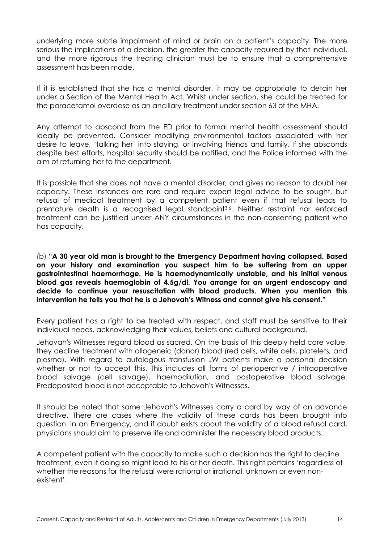underlying more subtle impairment of mind or brain on a patient's capacity. The more serious the implications of a decision, the greater the capacity required by that individual, and the more rigorous the treating clinician must be to ensure that a comprehensive assessment has been made.

If it is established that she has a mental disorder, it may be appropriate to detain her under a Section of the Mental Health Act. Whilst under section, she could be treated for the paracetamol overdose as an ancillary treatment under section 63 of the MHA.

Any attempt to abscond from the ED prior to formal mental health assessment should ideally be prevented. Consider modifying environmental factors associated with her desire to leave, 'talking her' into staying, or involving friends and family. If she absconds despite best efforts, hospital security should be notified, and the Police informed with the aim of returning her to the department.

It is possible that she does not have a mental disorder, and gives no reason to doubt her capacity. These instances are rare and require expert legal advice to be sought, but refusal of medical treatment by a competent patient even if that refusal leads to premature death is a recognised legal standpoint3,6. Neither restraint nor enforced treatment can be justified under ANY circumstances in the non-consenting patient who has capacity.

(b) **"A 30 year old man is brought to the Emergency Department having collapsed. Based on your history and examination you suspect him to be suffering from an upper gastrointestinal haemorrhage. He is haemodynamically unstable, and his initial venous blood gas reveals haemoglobin of 4.5g/dl. You arrange for an urgent endoscopy and decide to continue your resuscitation with blood products. When you mention this intervention he tells you that he is a Jehovah's Witness and cannot give his consent."**

Every patient has a right to be treated with respect, and staff must be sensitive to their individual needs, acknowledging their values, beliefs and cultural background.

Jehovah's Witnesses regard blood as sacred. On the basis of this deeply held core value, they decline treatment with allogeneic (donor) blood (red cells, white cells, platelets, and plasma). With regard to autologous transfusion JW patients make a personal decision whether or not to accept this. This includes all forms of perioperative / intraoperative blood salvage (cell salvage), haemodilution, and postoperative blood salvage. Predeposited blood is not acceptable to Jehovah's Witnesses.

It should be noted that some Jehovah's Witnesses carry a card by way of an advance directive. There are cases where the validity of these cards has been brought into question. In an Emergency, and if doubt exists about the validity of a blood refusal card, physicians should aim to preserve life and administer the necessary blood products.

A competent patient with the capacity to make such a decision has the right to decline treatment, even if doing so might lead to his or her death. This right pertains 'regardless of whether the reasons for the refusal were rational or irrational, unknown or even nonexistent'.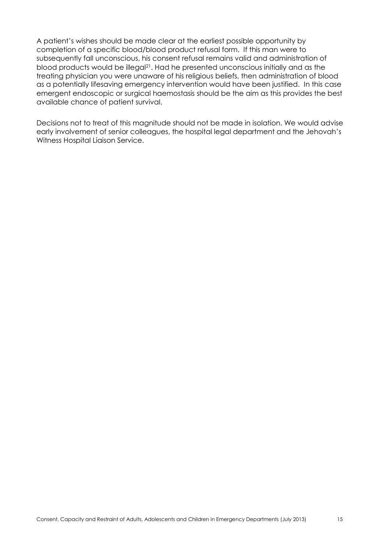A patient's wishes should be made clear at the earliest possible opportunity by completion of a specific blood/blood product refusal form. If this man were to subsequently fall unconscious, his consent refusal remains valid and administration of blood products would be illegal<sup>21</sup>. Had he presented unconscious initially and as the treating physician you were unaware of his religious beliefs, then administration of blood as a potentially lifesaving emergency intervention would have been justified. In this case emergent endoscopic or surgical haemostasis should be the aim as this provides the best available chance of patient survival.

Decisions not to treat of this magnitude should not be made in isolation. We would advise early involvement of senior colleagues, the hospital legal department and the Jehovah's Witness Hospital Liaison Service.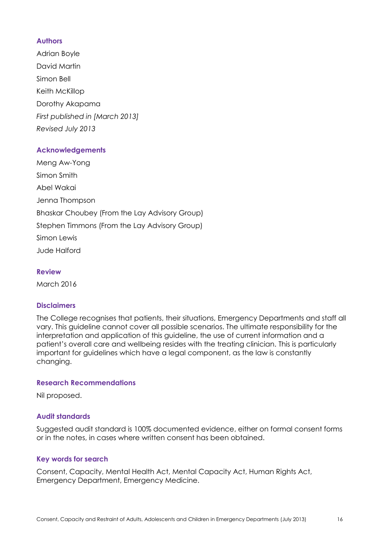#### **Authors**

Adrian Boyle David Martin Simon Bell Keith McKillop Dorothy Akapama *First published in [March 2013] Revised July 2013*

#### **Acknowledgements**

Meng Aw-Yong Simon Smith Abel Wakai Jenna Thompson Bhaskar Choubey (From the Lay Advisory Group) Stephen Timmons (From the Lay Advisory Group) Simon Lewis Jude Halford

**Review**

March 2016

#### **Disclaimers**

The College recognises that patients, their situations, Emergency Departments and staff all vary. This guideline cannot cover all possible scenarios. The ultimate responsibility for the interpretation and application of this guideline, the use of current information and a patient's overall care and wellbeing resides with the treating clinician. This is particularly important for guidelines which have a legal component, as the law is constantly changing.

#### **Research Recommendations**

Nil proposed.

#### **Audit standards**

Suggested audit standard is 100% documented evidence, either on formal consent forms or in the notes, in cases where written consent has been obtained.

#### **Key words for search**

Consent, Capacity, Mental Health Act, Mental Capacity Act, Human Rights Act, Emergency Department, Emergency Medicine.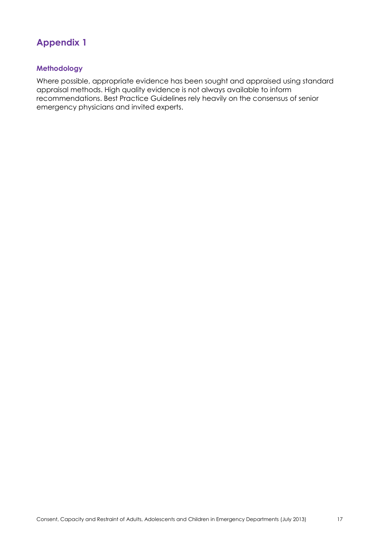## **Appendix 1**

#### **Methodology**

Where possible, appropriate evidence has been sought and appraised using standard appraisal methods. High quality evidence is not always available to inform recommendations. Best Practice Guidelines rely heavily on the consensus of senior emergency physicians and invited experts.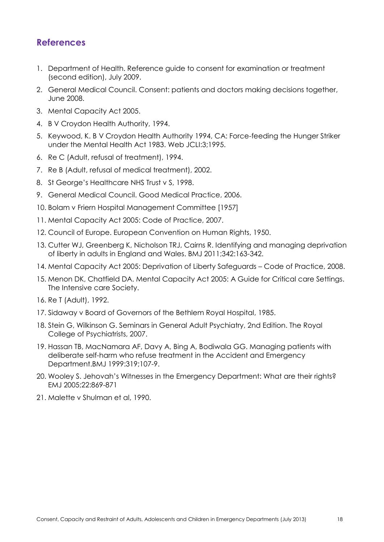## **References**

- 1. Department of Health. Reference guide to consent for examination or treatment (second edition), July 2009.
- 2. General Medical Council. Consent: patients and doctors making decisions together, June 2008.
- 3. Mental Capacity Act 2005.
- 4. B V Croydon Health Authority, 1994.
- 5. Keywood, K. B V Croydon Health Authority 1994, CA: Force-feeding the Hunger Striker under the Mental Health Act 1983. Web JCLI:3;1995.
- 6. Re C (Adult, refusal of treatment), 1994.
- 7. Re B (Adult, refusal of medical treatment), 2002.
- 8. St George's Healthcare NHS Trust v S, 1998.
- 9. General Medical Council. Good Medical Practice, 2006.
- 10. Bolam v Friern Hospital Management Committee [1957]
- 11. Mental Capacity Act 2005: Code of Practice, 2007.
- 12. Council of Europe. European Convention on Human Rights, 1950.
- 13. Cutter WJ, Greenberg K, Nicholson TRJ, Cairns R. Identifying and managing deprivation of liberty in adults in England and Wales. BMJ 2011;342:163-342.
- 14. Mental Capacity Act 2005: Deprivation of Liberty Safeguards Code of Practice, 2008.
- 15. Menon DK, Chatfield DA. Mental Capacity Act 2005: A Guide for Critical care Settings. The Intensive care Society.
- 16. Re T (Adult), 1992.
- 17. Sidaway v Board of Governors of the Bethlem Royal Hospital, 1985.
- 18. Stein G, Wilkinson G. Seminars in General Adult Psychiatry, 2nd Edition. The Royal College of Psychiatrists, 2007.
- 19. Hassan TB, MacNamara AF, Davy A, Bing A, Bodiwala GG. Managing patients with deliberate self-harm who refuse treatment in the Accident and Emergency Department.BMJ 1999:319;107-9.
- 20. Wooley S. Jehovah's Witnesses in the Emergency Department: What are their rights? EMJ 2005;22:869-871
- 21. Malette v Shulman et al, 1990.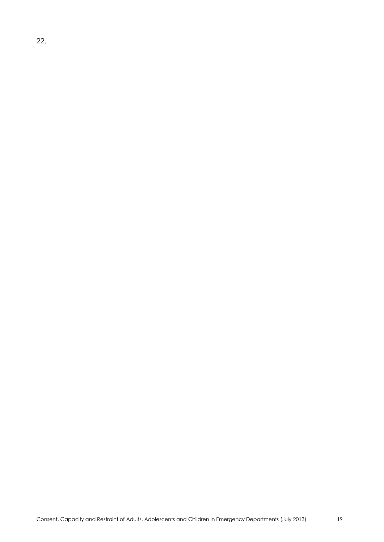22.